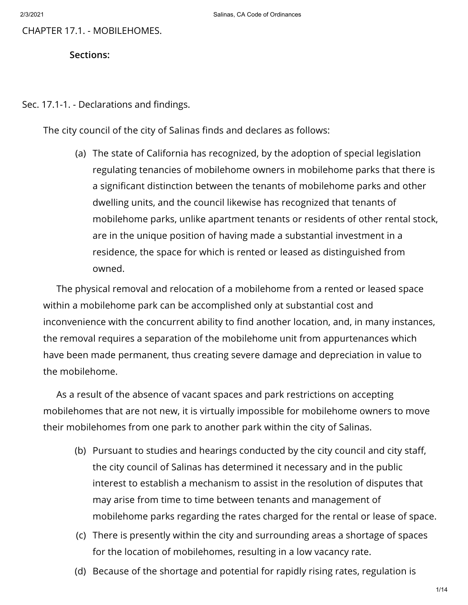CHAPTER 17.1. - MOBILEHOMES.

**Sections:**

Sec. 17.1-1. - Declarations and findings.

The city council of the city of Salinas finds and declares as follows:

(a) The state of California has recognized, by the adoption of special legislation regulating tenancies of mobilehome owners in mobilehome parks that there is a significant distinction between the tenants of mobilehome parks and other dwelling units, and the council likewise has recognized that tenants of mobilehome parks, unlike apartment tenants or residents of other rental stock, are in the unique position of having made a substantial investment in a residence, the space for which is rented or leased as distinguished from owned.

The physical removal and relocation of a mobilehome from a rented or leased space within a mobilehome park can be accomplished only at substantial cost and inconvenience with the concurrent ability to find another location, and, in many instances, the removal requires a separation of the mobilehome unit from appurtenances which have been made permanent, thus creating severe damage and depreciation in value to the mobilehome.

As a result of the absence of vacant spaces and park restrictions on accepting mobilehomes that are not new, it is virtually impossible for mobilehome owners to move their mobilehomes from one park to another park within the city of Salinas.

- (b) Pursuant to studies and hearings conducted by the city council and city staff, the city council of Salinas has determined it necessary and in the public interest to establish a mechanism to assist in the resolution of disputes that may arise from time to time between tenants and management of mobilehome parks regarding the rates charged for the rental or lease of space.
- (c) There is presently within the city and surrounding areas a shortage of spaces for the location of mobilehomes, resulting in a low vacancy rate.
- (d) Because of the shortage and potential for rapidly rising rates, regulation is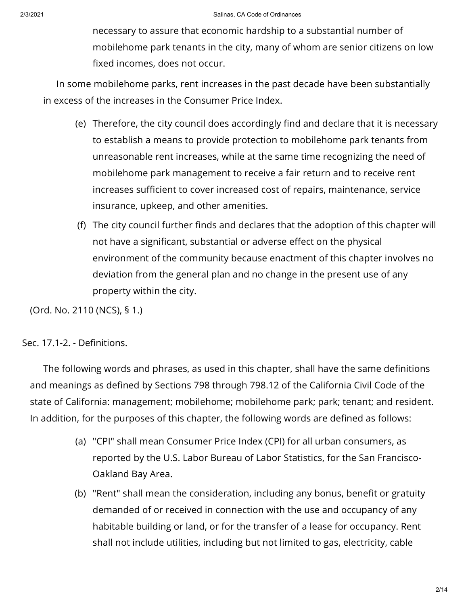necessary to assure that economic hardship to a substantial number of mobilehome park tenants in the city, many of whom are senior citizens on low fixed incomes, does not occur.

In some mobilehome parks, rent increases in the past decade have been substantially in excess of the increases in the Consumer Price Index.

- (e) Therefore, the city council does accordingly find and declare that it is necessary to establish a means to provide protection to mobilehome park tenants from unreasonable rent increases, while at the same time recognizing the need of mobilehome park management to receive a fair return and to receive rent increases sufficient to cover increased cost of repairs, maintenance, service insurance, upkeep, and other amenities.
- (f) The city council further finds and declares that the adoption of this chapter will not have a significant, substantial or adverse effect on the physical environment of the community because enactment of this chapter involves no deviation from the general plan and no change in the present use of any property within the city.

(Ord. No. 2110 (NCS), § 1.)

Sec. 17.1-2. - Definitions.

The following words and phrases, as used in this chapter, shall have the same definitions and meanings as defined by Sections 798 through 798.12 of the California Civil Code of the state of California: management; mobilehome; mobilehome park; park; tenant; and resident. In addition, for the purposes of this chapter, the following words are defined as follows:

- (a) "CPI" shall mean Consumer Price Index (CPI) for all urban consumers, as reported by the U.S. Labor Bureau of Labor Statistics, for the San Francisco-Oakland Bay Area.
- (b) "Rent" shall mean the consideration, including any bonus, benefit or gratuity demanded of or received in connection with the use and occupancy of any habitable building or land, or for the transfer of a lease for occupancy. Rent shall not include utilities, including but not limited to gas, electricity, cable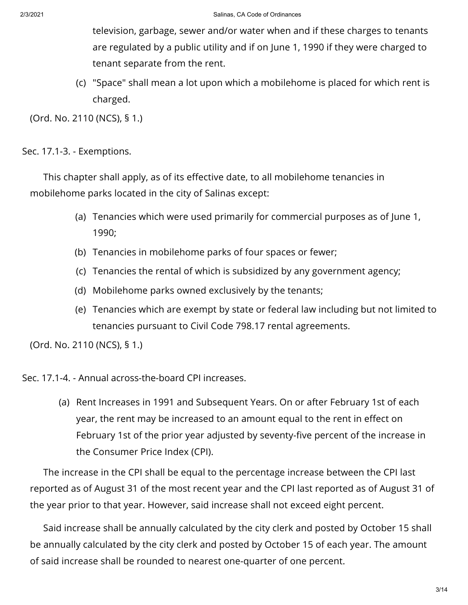television, garbage, sewer and/or water when and if these charges to tenants are regulated by a public utility and if on June 1, 1990 if they were charged to tenant separate from the rent.

(c) "Space" shall mean a lot upon which a mobilehome is placed for which rent is charged.

(Ord. No. 2110 (NCS), § 1.)

Sec. 17.1-3. - Exemptions.

This chapter shall apply, as of its effective date, to all mobilehome tenancies in mobilehome parks located in the city of Salinas except:

- (a) Tenancies which were used primarily for commercial purposes as of June 1, 1990;
- (b) Tenancies in mobilehome parks of four spaces or fewer;
- (c) Tenancies the rental of which is subsidized by any government agency;
- (d) Mobilehome parks owned exclusively by the tenants;
- (e) Tenancies which are exempt by state or federal law including but not limited to tenancies pursuant to Civil Code 798.17 rental agreements.

(Ord. No. 2110 (NCS), § 1.)

Sec. 17.1-4. - Annual across-the-board CPI increases.

(a) Rent Increases in 1991 and Subsequent Years. On or after February 1st of each year, the rent may be increased to an amount equal to the rent in effect on February 1st of the prior year adjusted by seventy-five percent of the increase in the Consumer Price Index (CPI).

The increase in the CPI shall be equal to the percentage increase between the CPI last reported as of August 31 of the most recent year and the CPI last reported as of August 31 of the year prior to that year. However, said increase shall not exceed eight percent.

Said increase shall be annually calculated by the city clerk and posted by October 15 shall be annually calculated by the city clerk and posted by October 15 of each year. The amount of said increase shall be rounded to nearest one-quarter of one percent.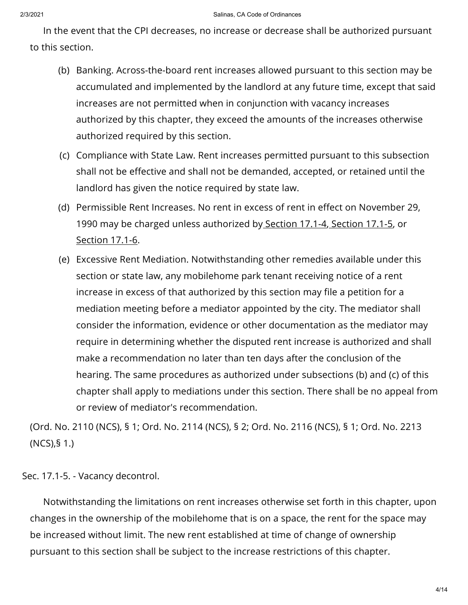In the event that the CPI decreases, no increase or decrease shall be authorized pursuant to this section.

- (b) Banking. Across-the-board rent increases allowed pursuant to this section may be accumulated and implemented by the landlord at any future time, except that said increases are not permitted when in conjunction with vacancy increases authorized by this chapter, they exceed the amounts of the increases otherwise authorized required by this section.
- (c) Compliance with State Law. Rent increases permitted pursuant to this subsection shall not be effective and shall not be demanded, accepted, or retained until the landlord has given the notice required by state law.
- (d) Permissible Rent Increases. No rent in excess of rent in effect on November 29, 1990 may be charged unless authorized by [Section](https://library.municode.com/) 17.1-4, [Section](https://library.municode.com/) 17.1-5, or [Section](https://library.municode.com/) 17.1-6.
- (e) Excessive Rent Mediation. Notwithstanding other remedies available under this section or state law, any mobilehome park tenant receiving notice of a rent increase in excess of that authorized by this section may file a petition for a mediation meeting before a mediator appointed by the city. The mediator shall consider the information, evidence or other documentation as the mediator may require in determining whether the disputed rent increase is authorized and shall make a recommendation no later than ten days after the conclusion of the hearing. The same procedures as authorized under subsections (b) and (c) of this chapter shall apply to mediations under this section. There shall be no appeal from or review of mediator's recommendation.

(Ord. No. 2110 (NCS), § 1; Ord. No. 2114 (NCS), § 2; Ord. No. 2116 (NCS), § 1; Ord. No. 2213 (NCS),§ 1.)

Sec. 17.1-5. - Vacancy decontrol.

Notwithstanding the limitations on rent increases otherwise set forth in this chapter, upon changes in the ownership of the mobilehome that is on a space, the rent for the space may be increased without limit. The new rent established at time of change of ownership pursuant to this section shall be subject to the increase restrictions of this chapter.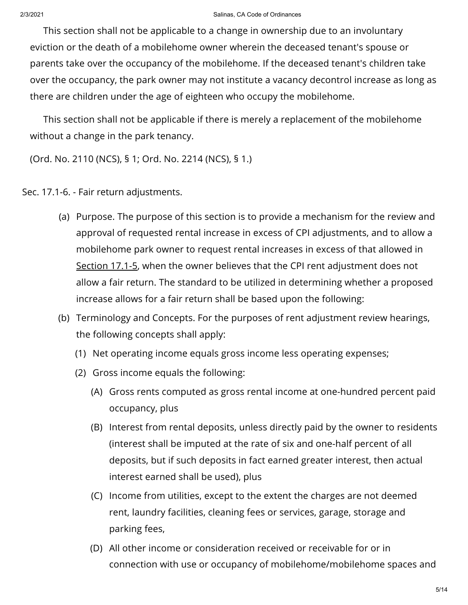## 2/3/2021 Salinas, CA Code of Ordinances

This section shall not be applicable to a change in ownership due to an involuntary eviction or the death of a mobilehome owner wherein the deceased tenant's spouse or parents take over the occupancy of the mobilehome. If the deceased tenant's children take over the occupancy, the park owner may not institute a vacancy decontrol increase as long as there are children under the age of eighteen who occupy the mobilehome.

This section shall not be applicable if there is merely a replacement of the mobilehome without a change in the park tenancy.

(Ord. No. 2110 (NCS), § 1; Ord. No. 2214 (NCS), § 1.)

Sec. 17.1-6. - Fair return adjustments.

- (a) Purpose. The purpose of this section is to provide a mechanism for the review and approval of requested rental increase in excess of CPI adjustments, and to allow a mobilehome park owner to request rental increases in excess of that allowed in [Section](https://library.municode.com/) 17.1-5, when the owner believes that the CPI rent adjustment does not allow a fair return. The standard to be utilized in determining whether a proposed increase allows for a fair return shall be based upon the following:
- (b) Terminology and Concepts. For the purposes of rent adjustment review hearings, the following concepts shall apply:
	- (1) Net operating income equals gross income less operating expenses;
	- (2) Gross income equals the following:
		- (A) Gross rents computed as gross rental income at one-hundred percent paid occupancy, plus
		- (B) Interest from rental deposits, unless directly paid by the owner to residents (interest shall be imputed at the rate of six and one-half percent of all deposits, but if such deposits in fact earned greater interest, then actual interest earned shall be used), plus
		- (C) Income from utilities, except to the extent the charges are not deemed rent, laundry facilities, cleaning fees or services, garage, storage and parking fees,
		- (D) All other income or consideration received or receivable for or in connection with use or occupancy of mobilehome/mobilehome spaces and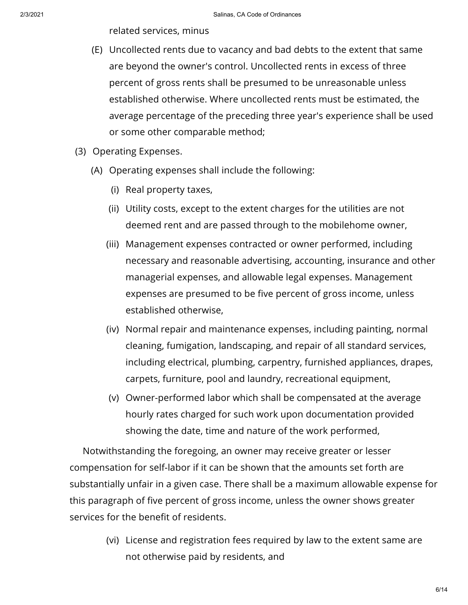related services, minus

- (E) Uncollected rents due to vacancy and bad debts to the extent that same are beyond the owner's control. Uncollected rents in excess of three percent of gross rents shall be presumed to be unreasonable unless established otherwise. Where uncollected rents must be estimated, the average percentage of the preceding three year's experience shall be used or some other comparable method;
- (3) Operating Expenses.
	- (A) Operating expenses shall include the following:
		- (i) Real property taxes,
		- (ii) Utility costs, except to the extent charges for the utilities are not deemed rent and are passed through to the mobilehome owner,
		- (iii) Management expenses contracted or owner performed, including necessary and reasonable advertising, accounting, insurance and other managerial expenses, and allowable legal expenses. Management expenses are presumed to be five percent of gross income, unless established otherwise,
		- (iv) Normal repair and maintenance expenses, including painting, normal cleaning, fumigation, landscaping, and repair of all standard services, including electrical, plumbing, carpentry, furnished appliances, drapes, carpets, furniture, pool and laundry, recreational equipment,
		- (v) Owner-performed labor which shall be compensated at the average hourly rates charged for such work upon documentation provided showing the date, time and nature of the work performed,

Notwithstanding the foregoing, an owner may receive greater or lesser compensation for self-labor if it can be shown that the amounts set forth are substantially unfair in a given case. There shall be a maximum allowable expense for this paragraph of five percent of gross income, unless the owner shows greater services for the benefit of residents.

> (vi) License and registration fees required by law to the extent same are not otherwise paid by residents, and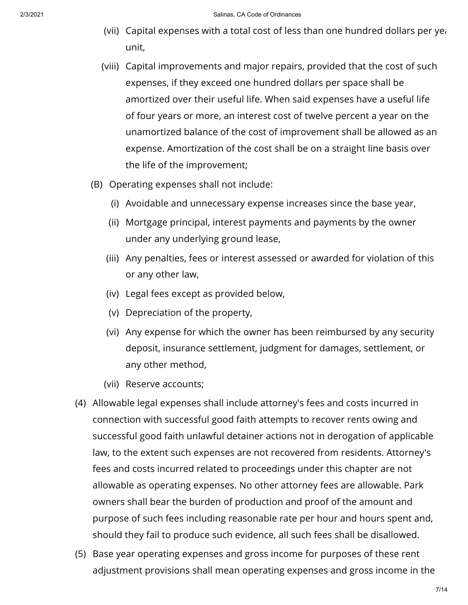- (vii)  $\,$  Capital expenses with a total cost of less than one hundred dollars per ye $\,$ unit,
- (viii) Capital improvements and major repairs, provided that the cost of such expenses, if they exceed one hundred dollars per space shall be amortized over their useful life. When said expenses have a useful life of four years or more, an interest cost of twelve percent a year on the unamortized balance of the cost of improvement shall be allowed as an expense. Amortization of the cost shall be on a straight line basis over the life of the improvement;
- (B) Operating expenses shall not include:
	- (i) Avoidable and unnecessary expense increases since the base year,
	- (ii) Mortgage principal, interest payments and payments by the owner under any underlying ground lease,
	- (iii) Any penalties, fees or interest assessed or awarded for violation of this or any other law,
	- (iv) Legal fees except as provided below,
	- (v) Depreciation of the property,
	- (vi) Any expense for which the owner has been reimbursed by any security deposit, insurance settlement, judgment for damages, settlement, or any other method,
	- (vii) Reserve accounts;
- (4) Allowable legal expenses shall include attorney's fees and costs incurred in connection with successful good faith attempts to recover rents owing and successful good faith unlawful detainer actions not in derogation of applicable law, to the extent such expenses are not recovered from residents. Attorney's fees and costs incurred related to proceedings under this chapter are not allowable as operating expenses. No other attorney fees are allowable. Park owners shall bear the burden of production and proof of the amount and purpose of such fees including reasonable rate per hour and hours spent and, should they fail to produce such evidence, all such fees shall be disallowed.
- (5) Base year operating expenses and gross income for purposes of these rent adjustment provisions shall mean operating expenses and gross income in the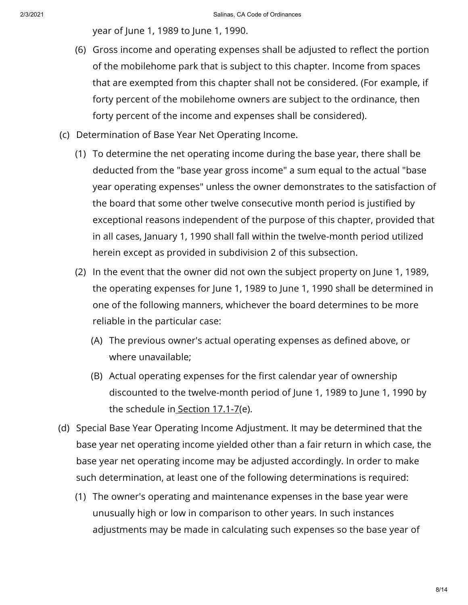year of June 1, 1989 to June 1, 1990.

- (6) Gross income and operating expenses shall be adjusted to reflect the portion of the mobilehome park that is subject to this chapter. Income from spaces that are exempted from this chapter shall not be considered. (For example, if forty percent of the mobilehome owners are subject to the ordinance, then forty percent of the income and expenses shall be considered).
- (c) Determination of Base Year Net Operating Income.
	- (1) To determine the net operating income during the base year, there shall be deducted from the "base year gross income" a sum equal to the actual "base year operating expenses" unless the owner demonstrates to the satisfaction of the board that some other twelve consecutive month period is justified by exceptional reasons independent of the purpose of this chapter, provided that in all cases, January 1, 1990 shall fall within the twelve-month period utilized herein except as provided in subdivision 2 of this subsection.
	- (2) In the event that the owner did not own the subject property on June 1, 1989, the operating expenses for June 1, 1989 to June 1, 1990 shall be determined in one of the following manners, whichever the board determines to be more reliable in the particular case:
		- (A) The previous owner's actual operating expenses as defined above, or where unavailable;
		- (B) Actual operating expenses for the first calendar year of ownership discounted to the twelve-month period of June 1, 1989 to June 1, 1990 by the schedule in [Section](https://library.municode.com/) 17.1-7(e).
- (d) Special Base Year Operating Income Adjustment. It may be determined that the base year net operating income yielded other than a fair return in which case, the base year net operating income may be adjusted accordingly. In order to make such determination, at least one of the following determinations is required:
	- (1) The owner's operating and maintenance expenses in the base year were unusually high or low in comparison to other years. In such instances adjustments may be made in calculating such expenses so the base year of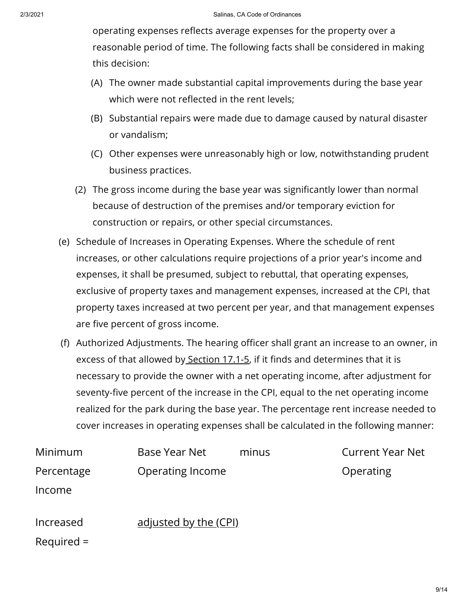operating expenses reflects average expenses for the property over a reasonable period of time. The following facts shall be considered in making this decision:

- (A) The owner made substantial capital improvements during the base year which were not reflected in the rent levels;
- (B) Substantial repairs were made due to damage caused by natural disaster or vandalism;
- (C) Other expenses were unreasonably high or low, notwithstanding prudent business practices.
- (2) The gross income during the base year was significantly lower than normal because of destruction of the premises and/or temporary eviction for construction or repairs, or other special circumstances.
- (e) Schedule of Increases in Operating Expenses. Where the schedule of rent increases, or other calculations require projections of a prior year's income and expenses, it shall be presumed, subject to rebuttal, that operating expenses, exclusive of property taxes and management expenses, increased at the CPI, that property taxes increased at two percent per year, and that management expenses are five percent of gross income.
- (f) Authorized Adjustments. The hearing officer shall grant an increase to an owner, in excess of that allowed by [Section](https://library.municode.com/) 17.1-5, if it finds and determines that it is necessary to provide the owner with a net operating income, after adjustment for seventy-five percent of the increase in the CPI, equal to the net operating income realized for the park during the base year. The percentage rent increase needed to cover increases in operating expenses shall be calculated in the following manner:

| Minimum                   | Base Year Net                | minus | <b>Current Year Net</b> |
|---------------------------|------------------------------|-------|-------------------------|
| Percentage<br>Income      | Operating Income             |       | Operating               |
| Increased<br>$Required =$ | <u>adjusted by the (CPI)</u> |       |                         |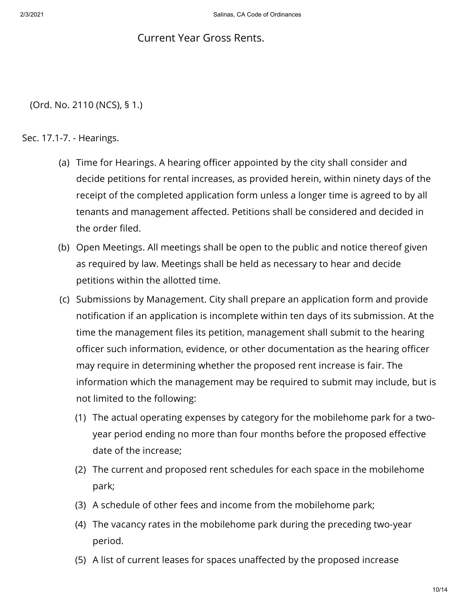## Current Year Gross Rents.

(Ord. No. 2110 (NCS), § 1.)

## Sec. 17.1-7. - Hearings.

- (a) Time for Hearings. A hearing officer appointed by the city shall consider and decide petitions for rental increases, as provided herein, within ninety days of the receipt of the completed application form unless a longer time is agreed to by all tenants and management affected. Petitions shall be considered and decided in the order filed.
- (b) Open Meetings. All meetings shall be open to the public and notice thereof given as required by law. Meetings shall be held as necessary to hear and decide petitions within the allotted time.
- (c) Submissions by Management. City shall prepare an application form and provide notification if an application is incomplete within ten days of its submission. At the time the management files its petition, management shall submit to the hearing officer such information, evidence, or other documentation as the hearing officer may require in determining whether the proposed rent increase is fair. The information which the management may be required to submit may include, but is not limited to the following:
	- (1) The actual operating expenses by category for the mobilehome park for a twoyear period ending no more than four months before the proposed effective date of the increase;
	- (2) The current and proposed rent schedules for each space in the mobilehome park;
	- (3) A schedule of other fees and income from the mobilehome park;
	- (4) The vacancy rates in the mobilehome park during the preceding two-year period.
	- (5) A list of current leases for spaces unaffected by the proposed increase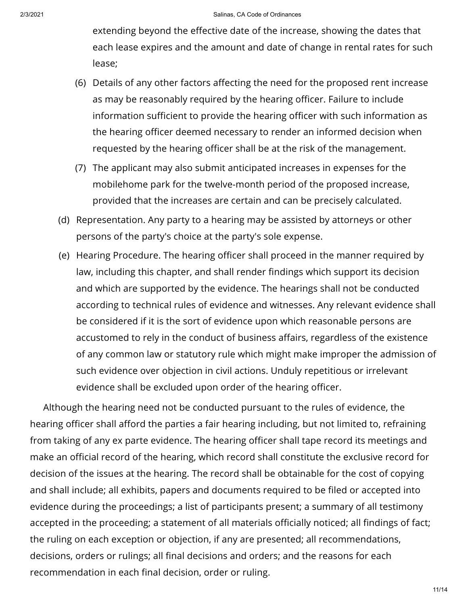extending beyond the effective date of the increase, showing the dates that each lease expires and the amount and date of change in rental rates for such lease;

- (6) Details of any other factors affecting the need for the proposed rent increase as may be reasonably required by the hearing officer. Failure to include information sufficient to provide the hearing officer with such information as the hearing officer deemed necessary to render an informed decision when requested by the hearing officer shall be at the risk of the management.
- (7) The applicant may also submit anticipated increases in expenses for the mobilehome park for the twelve-month period of the proposed increase, provided that the increases are certain and can be precisely calculated.
- (d) Representation. Any party to a hearing may be assisted by attorneys or other persons of the party's choice at the party's sole expense.
- (e) Hearing Procedure. The hearing officer shall proceed in the manner required by law, including this chapter, and shall render findings which support its decision and which are supported by the evidence. The hearings shall not be conducted according to technical rules of evidence and witnesses. Any relevant evidence shall be considered if it is the sort of evidence upon which reasonable persons are accustomed to rely in the conduct of business affairs, regardless of the existence of any common law or statutory rule which might make improper the admission of such evidence over objection in civil actions. Unduly repetitious or irrelevant evidence shall be excluded upon order of the hearing officer.

Although the hearing need not be conducted pursuant to the rules of evidence, the hearing officer shall afford the parties a fair hearing including, but not limited to, refraining from taking of any ex parte evidence. The hearing officer shall tape record its meetings and make an official record of the hearing, which record shall constitute the exclusive record for decision of the issues at the hearing. The record shall be obtainable for the cost of copying and shall include; all exhibits, papers and documents required to be filed or accepted into evidence during the proceedings; a list of participants present; a summary of all testimony accepted in the proceeding; a statement of all materials officially noticed; all findings of fact; the ruling on each exception or objection, if any are presented; all recommendations, decisions, orders or rulings; all final decisions and orders; and the reasons for each recommendation in each final decision, order or ruling.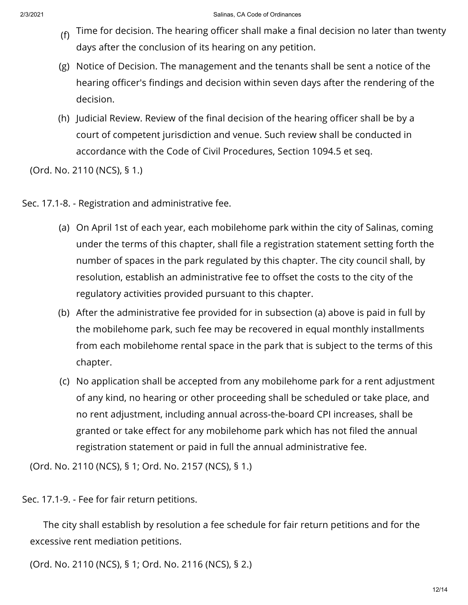- (f) Time for decision. The hearing officer shall make a final decision no later than twenty days after the conclusion of its hearing on any petition.
- (g) Notice of Decision. The management and the tenants shall be sent a notice of the hearing officer's findings and decision within seven days after the rendering of the decision.
- (h) Judicial Review. Review of the final decision of the hearing officer shall be by a court of competent jurisdiction and venue. Such review shall be conducted in accordance with the Code of Civil Procedures, Section 1094.5 et seq.

(Ord. No. 2110 (NCS), § 1.)

- Sec. 17.1-8. Registration and administrative fee.
	- (a) On April 1st of each year, each mobilehome park within the city of Salinas, coming under the terms of this chapter, shall file a registration statement setting forth the number of spaces in the park regulated by this chapter. The city council shall, by resolution, establish an administrative fee to offset the costs to the city of the regulatory activities provided pursuant to this chapter.
	- (b) After the administrative fee provided for in subsection (a) above is paid in full by the mobilehome park, such fee may be recovered in equal monthly installments from each mobilehome rental space in the park that is subject to the terms of this chapter.
	- (c) No application shall be accepted from any mobilehome park for a rent adjustment of any kind, no hearing or other proceeding shall be scheduled or take place, and no rent adjustment, including annual across-the-board CPI increases, shall be granted or take effect for any mobilehome park which has not filed the annual registration statement or paid in full the annual administrative fee.

(Ord. No. 2110 (NCS), § 1; Ord. No. 2157 (NCS), § 1.)

Sec. 17.1-9. - Fee for fair return petitions.

The city shall establish by resolution a fee schedule for fair return petitions and for the excessive rent mediation petitions.

(Ord. No. 2110 (NCS), § 1; Ord. No. 2116 (NCS), § 2.)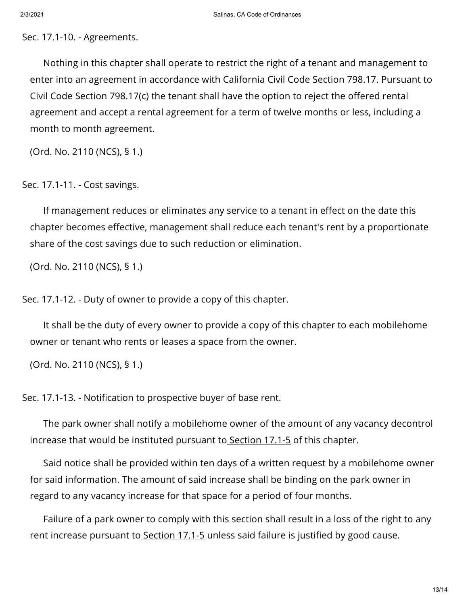Sec. 17.1-10. - Agreements.

Nothing in this chapter shall operate to restrict the right of a tenant and management to enter into an agreement in accordance with California Civil Code Section 798.17. Pursuant to Civil Code Section 798.17(c) the tenant shall have the option to reject the offered rental agreement and accept a rental agreement for a term of twelve months or less, including a month to month agreement.

(Ord. No. 2110 (NCS), § 1.)

Sec. 17.1-11. - Cost savings.

If management reduces or eliminates any service to a tenant in effect on the date this chapter becomes effective, management shall reduce each tenant's rent by a proportionate share of the cost savings due to such reduction or elimination.

(Ord. No. 2110 (NCS), § 1.)

Sec. 17.1-12. - Duty of owner to provide a copy of this chapter.

It shall be the duty of every owner to provide a copy of this chapter to each mobilehome owner or tenant who rents or leases a space from the owner.

(Ord. No. 2110 (NCS), § 1.)

Sec. 17.1-13. - Notification to prospective buyer of base rent.

The park owner shall notify a mobilehome owner of the amount of any vacancy decontrol increase that would be instituted pursuant to [Section](https://library.municode.com/) 17.1-5 of this chapter.

Said notice shall be provided within ten days of a written request by a mobilehome owner for said information. The amount of said increase shall be binding on the park owner in regard to any vacancy increase for that space for a period of four months.

Failure of a park owner to comply with this section shall result in a loss of the right to any rent increase pursuant to [Section](https://library.municode.com/) 17.1-5 unless said failure is justified by good cause.